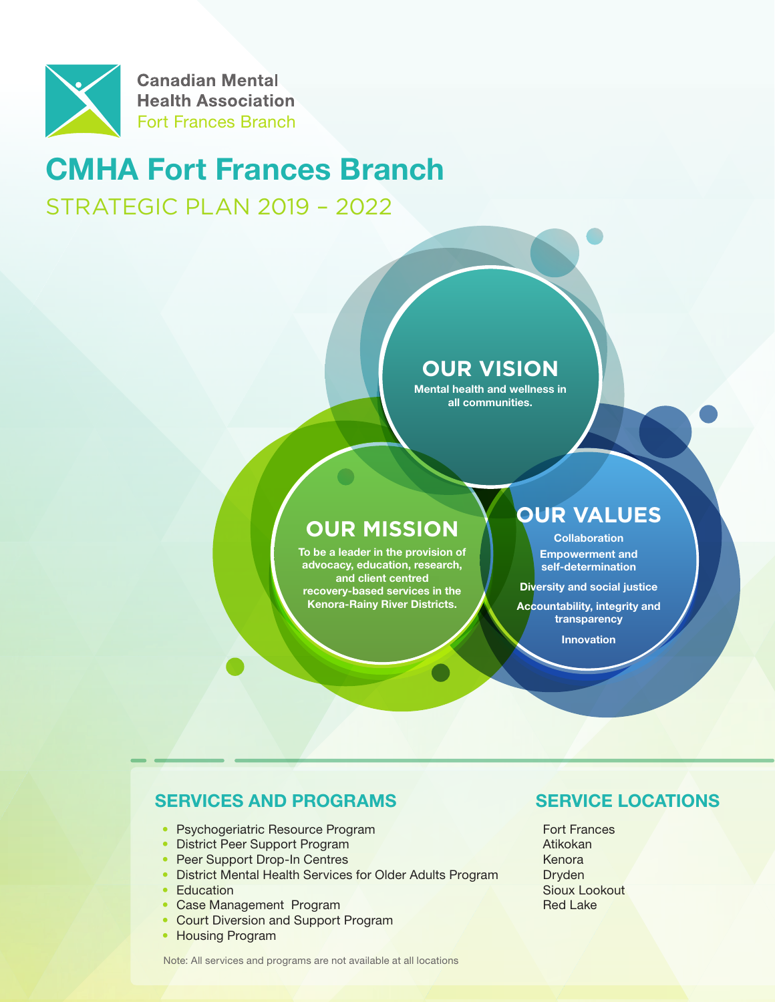

# CMHA Fort Frances Branch

STRATEGIC PLAN 2019 – 2022

# **OUR VISION**

Mental health and wellness in all communities.

# **OUR MISSION ACCEPT COllaboration**

To be a leader in the provision of advocacy, education, research, and client centred recovery-based services in the Kenora-Rainy River Districts.

# **OUR VALUES**

Empowerment and self-determination

Diversity and social justice

Accountability, integrity and transparency

Innovation

## SERVICES AND PROGRAMS

- Psychogeriatric Resource Program
- District Peer Support Program
- Peer Support Drop-In Centres
- District Mental Health Services for Older Adults Program
- Education
- Case Management Program
- Court Diversion and Support Program
- Housing Program

## SERVICE LOCATIONS

Fort Frances Atikokan Kenora Dryden Sioux Lookout Red Lake

Note: All services and programs are not available at all locations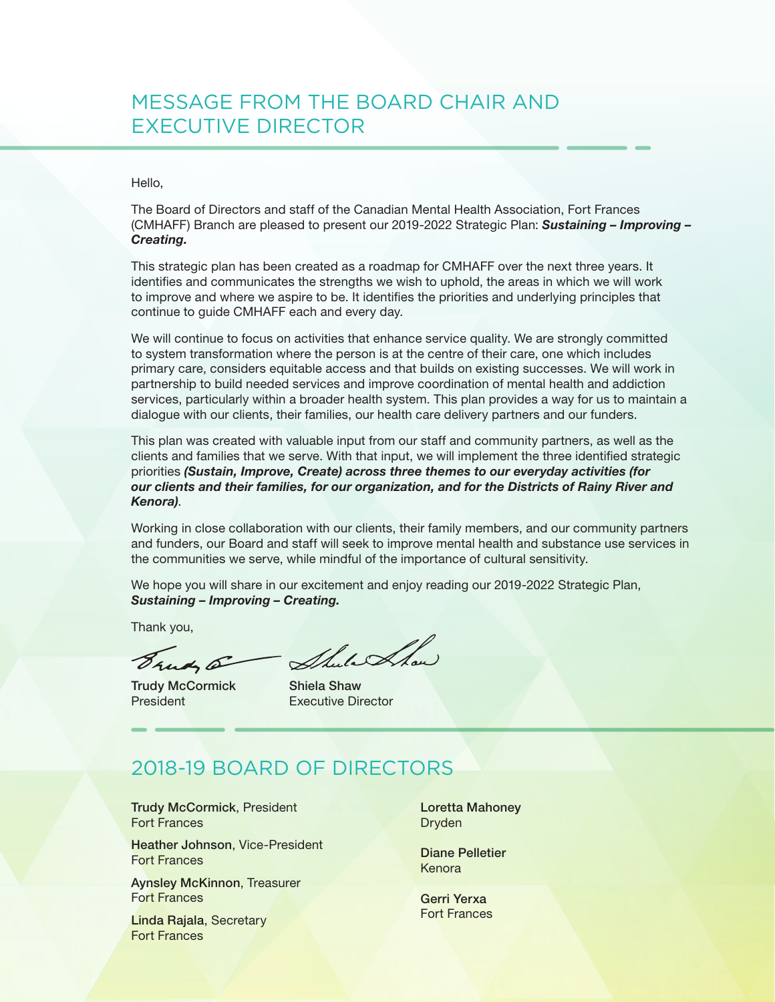# MESSAGE FROM THE BOARD CHAIR AND EXECUTIVE DIRECTOR

#### Hello,

The Board of Directors and staff of the Canadian Mental Health Association, Fort Frances (CMHAFF) Branch are pleased to present our 2019-2022 Strategic Plan: *Sustaining – Improving – Creating.*

This strategic plan has been created as a roadmap for CMHAFF over the next three years. It identifies and communicates the strengths we wish to uphold, the areas in which we will work to improve and where we aspire to be. It identifies the priorities and underlying principles that continue to guide CMHAFF each and every day.

We will continue to focus on activities that enhance service quality. We are strongly committed to system transformation where the person is at the centre of their care, one which includes primary care, considers equitable access and that builds on existing successes. We will work in partnership to build needed services and improve coordination of mental health and addiction services, particularly within a broader health system. This plan provides a way for us to maintain a dialogue with our clients, their families, our health care delivery partners and our funders.

This plan was created with valuable input from our staff and community partners, as well as the clients and families that we serve. With that input, we will implement the three identified strategic priorities *(Sustain, Improve, Create) across three themes to our everyday activities (for our clients and their families, for our organization, and for the Districts of Rainy River and Kenora)*.

Working in close collaboration with our clients, their family members, and our community partners and funders, our Board and staff will seek to improve mental health and substance use services in the communities we serve, while mindful of the importance of cultural sensitivity.

We hope you will share in our excitement and enjoy reading our 2019-2022 Strategic Plan, *Sustaining – Improving – Creating.*

Thank you,

Suit 5

Trudy McCormick President

Shula Ahow

Shiela Shaw Executive Director

# 2018-19 BOARD OF DIRECTORS

Trudy McCormick, President Fort Frances

Heather Johnson, Vice-President Fort Frances

Aynsley McKinnon, Treasurer Fort Frances

Linda Rajala, Secretary Fort Frances

Loretta Mahoney Dryden

Diane Pelletier Kenora

Gerri Yerxa Fort Frances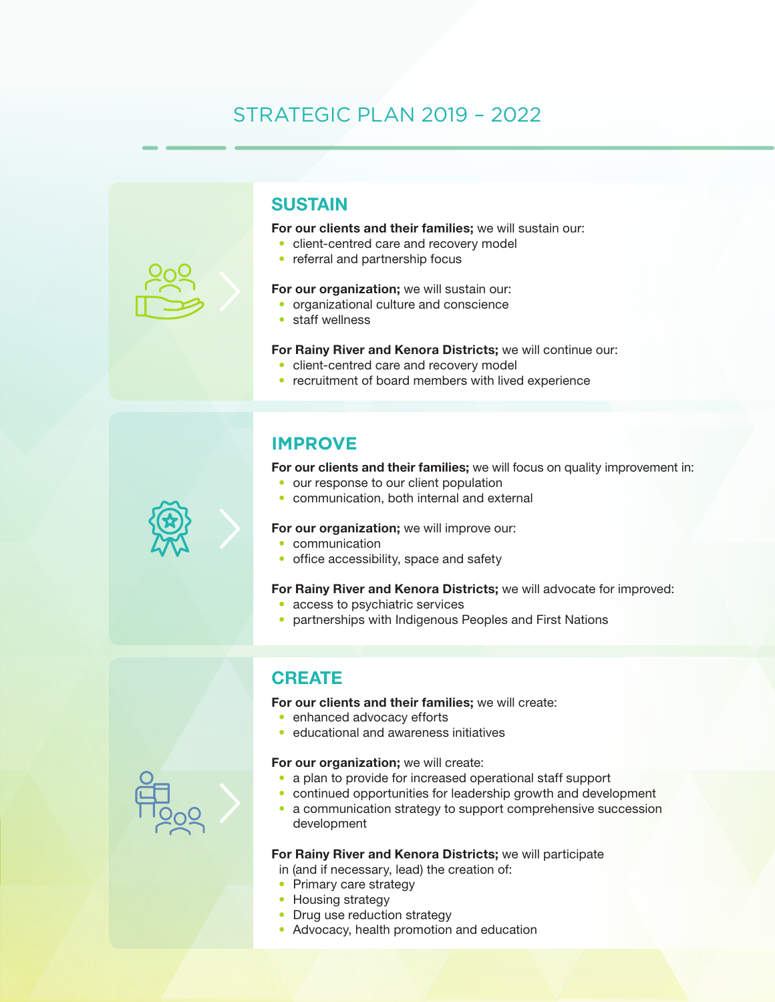# STRATEGIC PLAN 2019 – 2022



## **SUSTAIN**

For our clients and their families; we will sustain our:

- client-centred care and recovery model
- referral and partnership focus

#### For our organization; we will sustain our:

- organizational culture and conscience
- staff wellness

#### For Rainy River and Kenora Districts; we will continue our:

- client-centred care and recovery model
- recruitment of board members with lived experience

## **IMPROVE**

For our clients and their families; we will focus on quality improvement in:

- our response to our client population
- communication, both internal and external

#### For our organization; we will improve our:

- communication
- office accessibility, space and safety

#### For Rainy River and Kenora Districts; we will advocate for improved:

- access to psychiatric services
- partnerships with Indigenous Peoples and First Nations

## **CREATE**

For our clients and their families; we will create:

- enhanced advocacy efforts
- educational and awareness initiatives

#### For our organization; we will create:

- a plan to provide for increased operational staff support
- continued opportunities for leadership growth and development
- a communication strategy to support comprehensive succession development

#### For Rainy River and Kenora Districts; we will participate

in (and if necessary, lead) the creation of:

- Primary care strategy
- Housing strategy
- Drug use reduction strategy
- Advocacy, health promotion and education